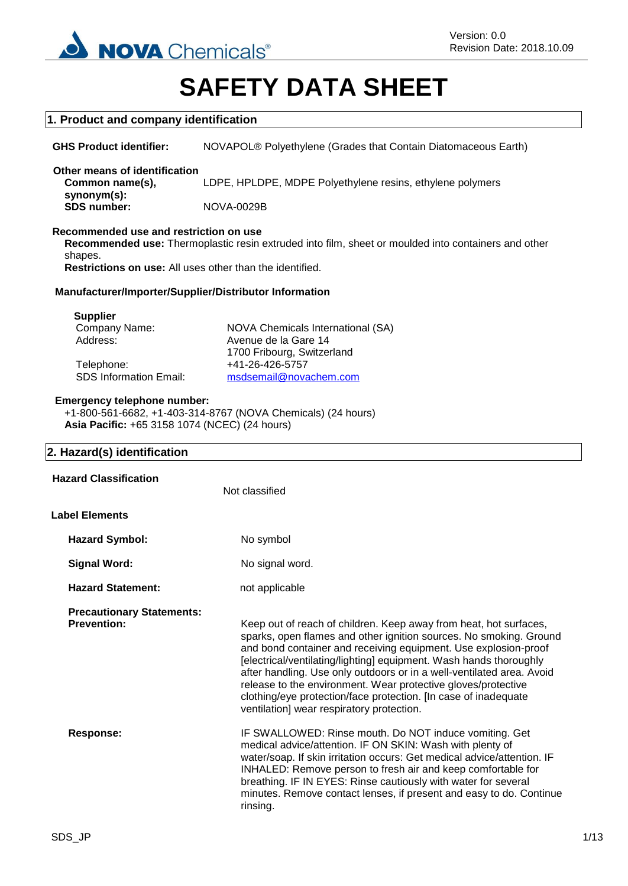

# **SAFETY DATA SHEET**

# **1. Product and company identification**

**GHS Product identifier:** NOVAPOL® Polyethylene (Grades that Contain Diatomaceous Earth) **Other means of identification Common name(s), synonym(s):** LDPE, HPLDPE, MDPE Polyethylene resins, ethylene polymers **SDS number:** NOVA-0029B

# **Recommended use and restriction on use**

**Recommended use:** Thermoplastic resin extruded into film, sheet or moulded into containers and other shapes.

**Restrictions on use:** All uses other than the identified.

# **Manufacturer/Importer/Supplier/Distributor Information**

| NOVA Chemicals International (SA) |
|-----------------------------------|
| Avenue de la Gare 14              |
| 1700 Fribourg, Switzerland        |
| +41-26-426-5757                   |
| msdsemail@novachem.com            |
|                                   |

# **Emergency telephone number:**

+1-800-561-6682, +1-403-314-8767 (NOVA Chemicals) (24 hours) **Asia Pacific:** +65 3158 1074 (NCEC) (24 hours)

# **2. Hazard(s) identification**

**Supplier**

| <b>Hazard Classification</b>                           | Not classified                                                                                                                                                                                                                                                                                                                                                                                                                                                                                                                             |
|--------------------------------------------------------|--------------------------------------------------------------------------------------------------------------------------------------------------------------------------------------------------------------------------------------------------------------------------------------------------------------------------------------------------------------------------------------------------------------------------------------------------------------------------------------------------------------------------------------------|
| <b>Label Elements</b>                                  |                                                                                                                                                                                                                                                                                                                                                                                                                                                                                                                                            |
| <b>Hazard Symbol:</b>                                  | No symbol                                                                                                                                                                                                                                                                                                                                                                                                                                                                                                                                  |
| <b>Signal Word:</b>                                    | No signal word.                                                                                                                                                                                                                                                                                                                                                                                                                                                                                                                            |
| <b>Hazard Statement:</b>                               | not applicable                                                                                                                                                                                                                                                                                                                                                                                                                                                                                                                             |
| <b>Precautionary Statements:</b><br><b>Prevention:</b> | Keep out of reach of children. Keep away from heat, hot surfaces,<br>sparks, open flames and other ignition sources. No smoking. Ground<br>and bond container and receiving equipment. Use explosion-proof<br>[electrical/ventilating/lighting] equipment. Wash hands thoroughly<br>after handling. Use only outdoors or in a well-ventilated area. Avoid<br>release to the environment. Wear protective gloves/protective<br>clothing/eye protection/face protection. [In case of inadequate<br>ventilation] wear respiratory protection. |
| Response:                                              | IF SWALLOWED: Rinse mouth. Do NOT induce vomiting. Get<br>medical advice/attention. IF ON SKIN: Wash with plenty of<br>water/soap. If skin irritation occurs: Get medical advice/attention. IF<br>INHALED: Remove person to fresh air and keep comfortable for<br>breathing. IF IN EYES: Rinse cautiously with water for several<br>minutes. Remove contact lenses, if present and easy to do. Continue<br>rinsing.                                                                                                                        |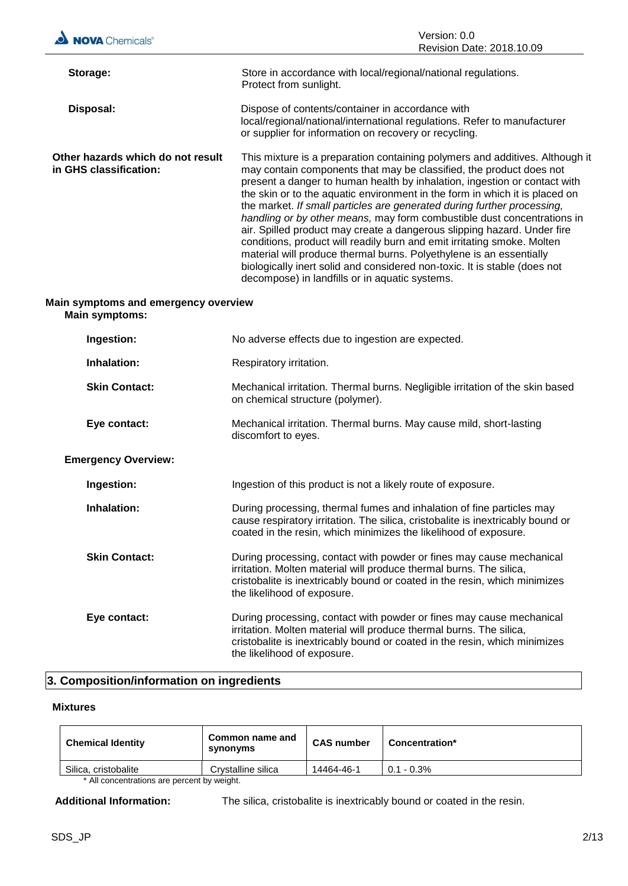

| Ingestion:                 | No adverse effects due to ingestion are expected.                                                                                                                                                                                                        |  |
|----------------------------|----------------------------------------------------------------------------------------------------------------------------------------------------------------------------------------------------------------------------------------------------------|--|
| Inhalation:                | Respiratory irritation.                                                                                                                                                                                                                                  |  |
| <b>Skin Contact:</b>       | Mechanical irritation. Thermal burns. Negligible irritation of the skin based<br>on chemical structure (polymer).                                                                                                                                        |  |
| Eye contact:               | Mechanical irritation. Thermal burns. May cause mild, short-lasting<br>discomfort to eyes.                                                                                                                                                               |  |
| <b>Emergency Overview:</b> |                                                                                                                                                                                                                                                          |  |
| Ingestion:                 | Ingestion of this product is not a likely route of exposure.                                                                                                                                                                                             |  |
| Inhalation:                | During processing, thermal fumes and inhalation of fine particles may<br>cause respiratory irritation. The silica, cristobalite is inextricably bound or<br>coated in the resin, which minimizes the likelihood of exposure.                             |  |
| <b>Skin Contact:</b>       | During processing, contact with powder or fines may cause mechanical<br>irritation. Molten material will produce thermal burns. The silica,<br>cristobalite is inextricably bound or coated in the resin, which minimizes<br>the likelihood of exposure. |  |
| Eye contact:               | During processing, contact with powder or fines may cause mechanical<br>irritation. Molten material will produce thermal burns. The silica,<br>cristobalite is inextricably bound or coated in the resin, which minimizes<br>the likelihood of exposure. |  |
|                            |                                                                                                                                                                                                                                                          |  |

# **3. Composition/information on ingredients**

# **Mixtures**

| <b>Chemical Identity</b>                   | Common name and<br>synonyms | <b>CAS number</b> | Concentration* |
|--------------------------------------------|-----------------------------|-------------------|----------------|
| Silica, cristobalite                       | Crystalline silica          | 14464-46-1        | $0.1 - 0.3\%$  |
| * All concontrations are persont by woight |                             |                   |                |

All concentrations are percent by weight.

**Additional Information:** The silica, cristobalite is inextricably bound or coated in the resin.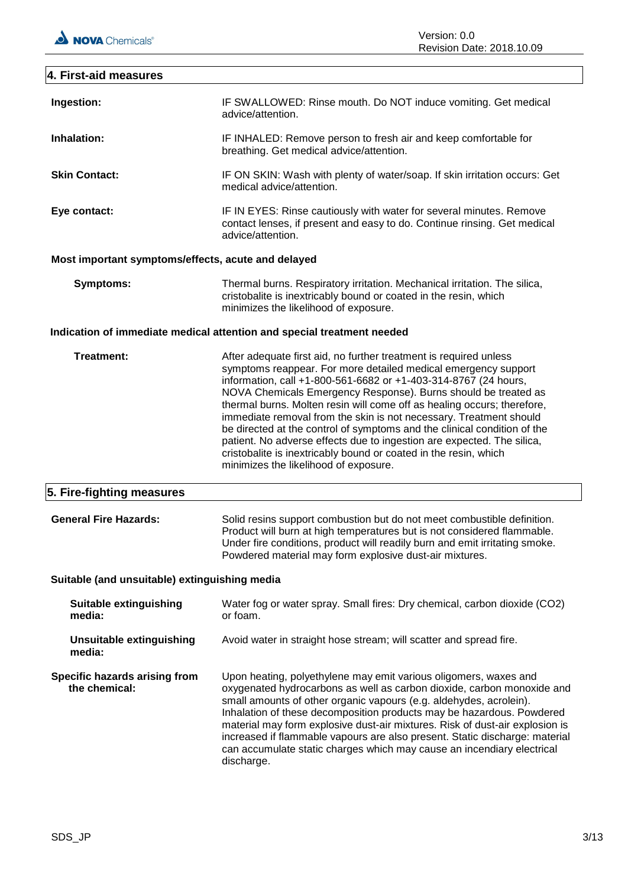Version: 0.0 Revision Date: 2018.10.09

# **4. First-aid measures Ingestion:** IF SWALLOWED: Rinse mouth. Do NOT induce vomiting. Get medical advice/attention. **Inhalation:** IF INHALED: Remove person to fresh air and keep comfortable for breathing. Get medical advice/attention. **Skin Contact:** IF ON SKIN: Wash with plenty of water/soap. If skin irritation occurs: Get medical advice/attention. **Eye contact:** IF IN EYES: Rinse cautiously with water for several minutes. Remove contact lenses, if present and easy to do. Continue rinsing. Get medical advice/attention. **Most important symptoms/effects, acute and delayed Symptoms:** Thermal burns. Respiratory irritation. Mechanical irritation. The silica, cristobalite is inextricably bound or coated in the resin, which minimizes the likelihood of exposure. **Indication of immediate medical attention and special treatment needed Treatment:** After adequate first aid, no further treatment is required unless symptoms reappear. For more detailed medical emergency support information, call +1-800-561-6682 or +1-403-314-8767 (24 hours, NOVA Chemicals Emergency Response). Burns should be treated as thermal burns. Molten resin will come off as healing occurs; therefore, immediate removal from the skin is not necessary. Treatment should be directed at the control of symptoms and the clinical condition of the patient. No adverse effects due to ingestion are expected. The silica, cristobalite is inextricably bound or coated in the resin, which minimizes the likelihood of exposure. **5. Fire-fighting measures General Fire Hazards:** Solid resins support combustion but do not meet combustible definition. Product will burn at high temperatures but is not considered flammable. Under fire conditions, product will readily burn and emit irritating smoke. Powdered material may form explosive dust-air mixtures. **Suitable (and unsuitable) extinguishing media Suitable extinguishing media:** Water fog or water spray. Small fires: Dry chemical, carbon dioxide (CO2) or foam. **Unsuitable extinguishing media:** Avoid water in straight hose stream; will scatter and spread fire. **Specific hazards arising from the chemical:** Upon heating, polyethylene may emit various oligomers, waxes and oxygenated hydrocarbons as well as carbon dioxide, carbon monoxide and small amounts of other organic vapours (e.g. aldehydes, acrolein). Inhalation of these decomposition products may be hazardous. Powdered material may form explosive dust-air mixtures. Risk of dust-air explosion is increased if flammable vapours are also present. Static discharge: material can accumulate static charges which may cause an incendiary electrical discharge.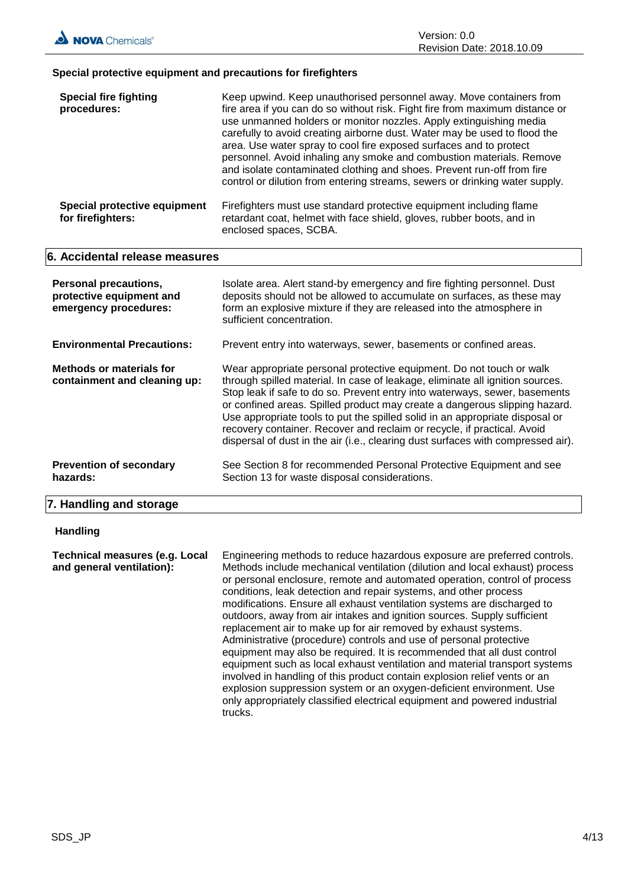# **Special protective equipment and precautions for firefighters**

| <b>Special fire fighting</b><br>procedures:       | Keep upwind. Keep unauthorised personnel away. Move containers from<br>fire area if you can do so without risk. Fight fire from maximum distance or<br>use unmanned holders or monitor nozzles. Apply extinguishing media<br>carefully to avoid creating airborne dust. Water may be used to flood the<br>area. Use water spray to cool fire exposed surfaces and to protect<br>personnel. Avoid inhaling any smoke and combustion materials. Remove<br>and isolate contaminated clothing and shoes. Prevent run-off from fire<br>control or dilution from entering streams, sewers or drinking water supply. |
|---------------------------------------------------|---------------------------------------------------------------------------------------------------------------------------------------------------------------------------------------------------------------------------------------------------------------------------------------------------------------------------------------------------------------------------------------------------------------------------------------------------------------------------------------------------------------------------------------------------------------------------------------------------------------|
| Special protective equipment<br>for firefighters: | Firefighters must use standard protective equipment including flame<br>retardant coat, helmet with face shield, gloves, rubber boots, and in<br>enclosed spaces, SCBA.                                                                                                                                                                                                                                                                                                                                                                                                                                        |

# **6. Accidental release measures**

| <b>Personal precautions,</b><br>protective equipment and<br>emergency procedures: | Isolate area. Alert stand-by emergency and fire fighting personnel. Dust<br>deposits should not be allowed to accumulate on surfaces, as these may<br>form an explosive mixture if they are released into the atmosphere in<br>sufficient concentration.                                                                                                                                                                                                                                                                                                         |
|-----------------------------------------------------------------------------------|------------------------------------------------------------------------------------------------------------------------------------------------------------------------------------------------------------------------------------------------------------------------------------------------------------------------------------------------------------------------------------------------------------------------------------------------------------------------------------------------------------------------------------------------------------------|
| <b>Environmental Precautions:</b>                                                 | Prevent entry into waterways, sewer, basements or confined areas.                                                                                                                                                                                                                                                                                                                                                                                                                                                                                                |
| Methods or materials for<br>containment and cleaning up:                          | Wear appropriate personal protective equipment. Do not touch or walk<br>through spilled material. In case of leakage, eliminate all ignition sources.<br>Stop leak if safe to do so. Prevent entry into waterways, sewer, basements<br>or confined areas. Spilled product may create a dangerous slipping hazard.<br>Use appropriate tools to put the spilled solid in an appropriate disposal or<br>recovery container. Recover and reclaim or recycle, if practical. Avoid<br>dispersal of dust in the air (i.e., clearing dust surfaces with compressed air). |
| <b>Prevention of secondary</b><br>hazards:                                        | See Section 8 for recommended Personal Protective Equipment and see<br>Section 13 for waste disposal considerations.                                                                                                                                                                                                                                                                                                                                                                                                                                             |

# **7. Handling and storage**

# **Handling**

**Technical measures (e.g. Local and general ventilation):** Engineering methods to reduce hazardous exposure are preferred controls. Methods include mechanical ventilation (dilution and local exhaust) process or personal enclosure, remote and automated operation, control of process conditions, leak detection and repair systems, and other process modifications. Ensure all exhaust ventilation systems are discharged to outdoors, away from air intakes and ignition sources. Supply sufficient replacement air to make up for air removed by exhaust systems. Administrative (procedure) controls and use of personal protective equipment may also be required. It is recommended that all dust control equipment such as local exhaust ventilation and material transport systems involved in handling of this product contain explosion relief vents or an explosion suppression system or an oxygen-deficient environment. Use only appropriately classified electrical equipment and powered industrial trucks.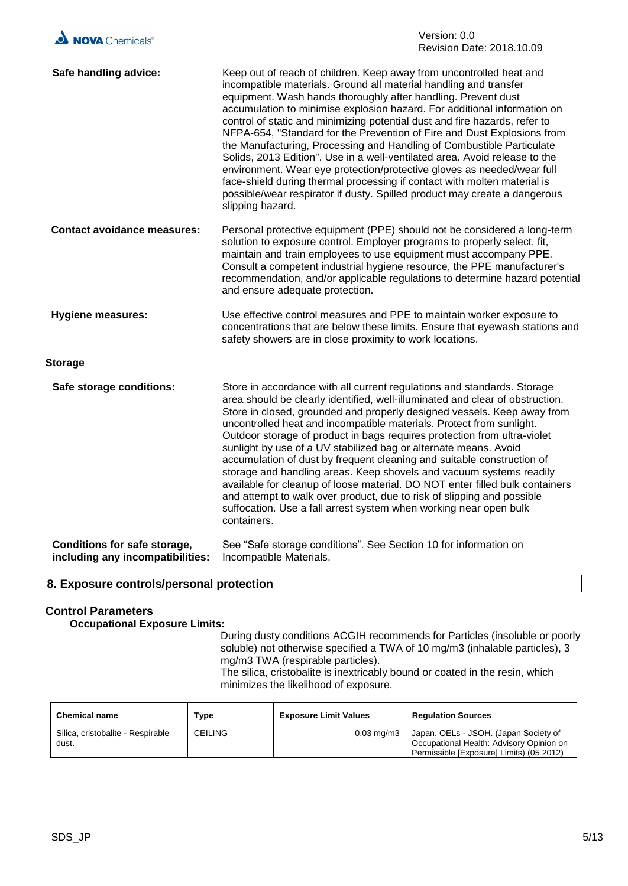| Safe handling advice:                                                   | Keep out of reach of children. Keep away from uncontrolled heat and<br>incompatible materials. Ground all material handling and transfer<br>equipment. Wash hands thoroughly after handling. Prevent dust<br>accumulation to minimise explosion hazard. For additional information on<br>control of static and minimizing potential dust and fire hazards, refer to<br>NFPA-654, "Standard for the Prevention of Fire and Dust Explosions from<br>the Manufacturing, Processing and Handling of Combustible Particulate<br>Solids, 2013 Edition". Use in a well-ventilated area. Avoid release to the<br>environment. Wear eye protection/protective gloves as needed/wear full<br>face-shield during thermal processing if contact with molten material is<br>possible/wear respirator if dusty. Spilled product may create a dangerous<br>slipping hazard. |
|-------------------------------------------------------------------------|--------------------------------------------------------------------------------------------------------------------------------------------------------------------------------------------------------------------------------------------------------------------------------------------------------------------------------------------------------------------------------------------------------------------------------------------------------------------------------------------------------------------------------------------------------------------------------------------------------------------------------------------------------------------------------------------------------------------------------------------------------------------------------------------------------------------------------------------------------------|
| <b>Contact avoidance measures:</b>                                      | Personal protective equipment (PPE) should not be considered a long-term<br>solution to exposure control. Employer programs to properly select, fit,<br>maintain and train employees to use equipment must accompany PPE.<br>Consult a competent industrial hygiene resource, the PPE manufacturer's<br>recommendation, and/or applicable regulations to determine hazard potential<br>and ensure adequate protection.                                                                                                                                                                                                                                                                                                                                                                                                                                       |
| <b>Hygiene measures:</b>                                                | Use effective control measures and PPE to maintain worker exposure to<br>concentrations that are below these limits. Ensure that eyewash stations and<br>safety showers are in close proximity to work locations.                                                                                                                                                                                                                                                                                                                                                                                                                                                                                                                                                                                                                                            |
| <b>Storage</b>                                                          |                                                                                                                                                                                                                                                                                                                                                                                                                                                                                                                                                                                                                                                                                                                                                                                                                                                              |
| Safe storage conditions:                                                | Store in accordance with all current regulations and standards. Storage<br>area should be clearly identified, well-illuminated and clear of obstruction.<br>Store in closed, grounded and properly designed vessels. Keep away from<br>uncontrolled heat and incompatible materials. Protect from sunlight.<br>Outdoor storage of product in bags requires protection from ultra-violet<br>sunlight by use of a UV stabilized bag or alternate means. Avoid<br>accumulation of dust by frequent cleaning and suitable construction of<br>storage and handling areas. Keep shovels and vacuum systems readily<br>available for cleanup of loose material. DO NOT enter filled bulk containers<br>and attempt to walk over product, due to risk of slipping and possible<br>suffocation. Use a fall arrest system when working near open bulk<br>containers.   |
| <b>Conditions for safe storage,</b><br>including any incompatibilities: | See "Safe storage conditions". See Section 10 for information on<br>Incompatible Materials.                                                                                                                                                                                                                                                                                                                                                                                                                                                                                                                                                                                                                                                                                                                                                                  |

# **8. Exposure controls/personal protection**

# **Control Parameters**

**Occupational Exposure Limits:**

During dusty conditions ACGIH recommends for Particles (insoluble or poorly soluble) not otherwise specified a TWA of 10 mg/m3 (inhalable particles), 3 mg/m3 TWA (respirable particles). The silica, cristobalite is inextricably bound or coated in the resin, which

minimizes the likelihood of exposure.

| <b>Chemical name</b>                       | Type           | <b>Exposure Limit Values</b> | <b>Regulation Sources</b>                                                                                                     |
|--------------------------------------------|----------------|------------------------------|-------------------------------------------------------------------------------------------------------------------------------|
| Silica, cristobalite - Respirable<br>dust. | <b>CEILING</b> | $0.03 \text{ mg/m}$          | Japan. OELs - JSOH. (Japan Society of<br>Occupational Health: Advisory Opinion on<br>Permissible [Exposure] Limits) (05 2012) |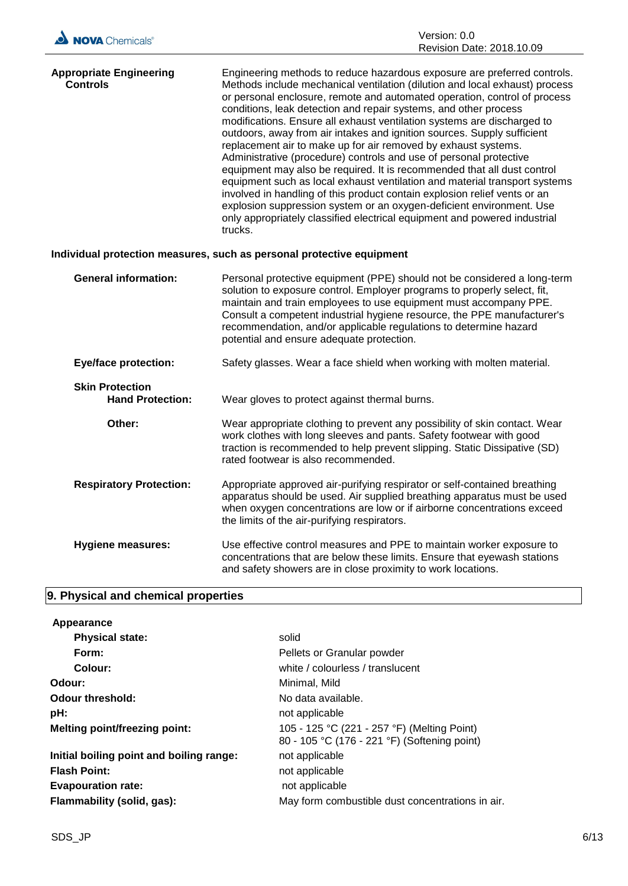| NOVA Chemicals®                                   | Version: 0.0<br>Revision Date: 2018.10.09                                                                                                                                                                                                                                                                                                                                                                                                                                                                                                                                                                                                                                                                                                                                                                                                                                                                                                                                                                    |
|---------------------------------------------------|--------------------------------------------------------------------------------------------------------------------------------------------------------------------------------------------------------------------------------------------------------------------------------------------------------------------------------------------------------------------------------------------------------------------------------------------------------------------------------------------------------------------------------------------------------------------------------------------------------------------------------------------------------------------------------------------------------------------------------------------------------------------------------------------------------------------------------------------------------------------------------------------------------------------------------------------------------------------------------------------------------------|
| <b>Appropriate Engineering</b><br><b>Controls</b> | Engineering methods to reduce hazardous exposure are preferred controls.<br>Methods include mechanical ventilation (dilution and local exhaust) process<br>or personal enclosure, remote and automated operation, control of process<br>conditions, leak detection and repair systems, and other process<br>modifications. Ensure all exhaust ventilation systems are discharged to<br>outdoors, away from air intakes and ignition sources. Supply sufficient<br>replacement air to make up for air removed by exhaust systems.<br>Administrative (procedure) controls and use of personal protective<br>equipment may also be required. It is recommended that all dust control<br>equipment such as local exhaust ventilation and material transport systems<br>involved in handling of this product contain explosion relief vents or an<br>explosion suppression system or an oxygen-deficient environment. Use<br>only appropriately classified electrical equipment and powered industrial<br>trucks. |
|                                                   | Individual protection measures, such as personal protective equipment                                                                                                                                                                                                                                                                                                                                                                                                                                                                                                                                                                                                                                                                                                                                                                                                                                                                                                                                        |
| <b>General information:</b>                       | Personal protective equipment (PPE) should not be considered a long-term<br>solution to exposure control. Employer programs to properly select, fit,<br>maintain and train employees to use equipment must accompany PPE.<br>Consult a competent industrial hygiene resource, the PPE manufacturer's<br>recommendation, and/or applicable regulations to determine hazard<br>potential and ensure adequate protection.                                                                                                                                                                                                                                                                                                                                                                                                                                                                                                                                                                                       |
| <b>Eye/face protection:</b>                       | Safety glasses. Wear a face shield when working with molten material.                                                                                                                                                                                                                                                                                                                                                                                                                                                                                                                                                                                                                                                                                                                                                                                                                                                                                                                                        |
| <b>Skin Protection</b><br><b>Hand Protection:</b> | Wear gloves to protect against thermal burns.                                                                                                                                                                                                                                                                                                                                                                                                                                                                                                                                                                                                                                                                                                                                                                                                                                                                                                                                                                |
| ∩thar∙                                            | Wear appropriate clothing to prevent any possibility of skin contact Wear                                                                                                                                                                                                                                                                                                                                                                                                                                                                                                                                                                                                                                                                                                                                                                                                                                                                                                                                    |

- **Other:** Wear appropriate clothing to prevent any possibility of skin contact. Wear work clothes with long sleeves and pants. Safety footwear with good traction is recommended to help prevent slipping. Static Dissipative (SD) rated footwear is also recommended. **Respiratory Protection:** Appropriate approved air-purifying respirator or self-contained breathing apparatus should be used. Air supplied breathing apparatus must be used when oxygen concentrations are low or if airborne concentrations exceed the limits of the air-purifying respirators.
- **Hygiene measures:** Use effective control measures and PPE to maintain worker exposure to concentrations that are below these limits. Ensure that eyewash stations and safety showers are in close proximity to work locations.

# **9. Physical and chemical properties**

| Appearance                               |                                                                                             |
|------------------------------------------|---------------------------------------------------------------------------------------------|
| <b>Physical state:</b>                   | solid                                                                                       |
| Form:                                    | Pellets or Granular powder                                                                  |
| Colour:                                  | white / colourless / translucent                                                            |
| Odour:                                   | Minimal, Mild                                                                               |
| <b>Odour threshold:</b>                  | No data available.                                                                          |
| pH:                                      | not applicable                                                                              |
| <b>Melting point/freezing point:</b>     | 105 - 125 °C (221 - 257 °F) (Melting Point)<br>80 - 105 °C (176 - 221 °F) (Softening point) |
| Initial boiling point and boiling range: | not applicable                                                                              |
| <b>Flash Point:</b>                      | not applicable                                                                              |
| <b>Evapouration rate:</b>                | not applicable                                                                              |
| Flammability (solid, gas):               | May form combustible dust concentrations in air.                                            |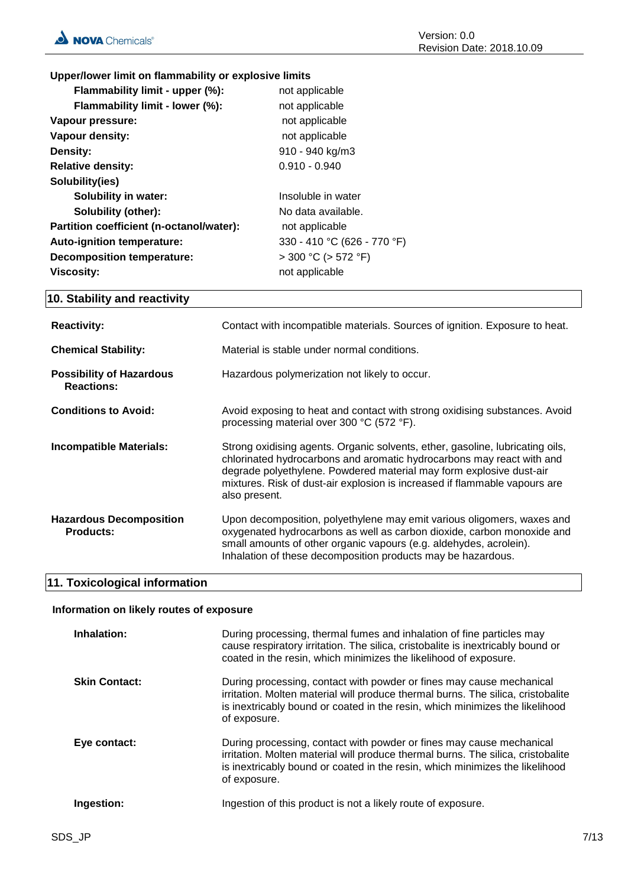# **Upper/lower limit on flammability or explosive limits**

| Flammability limit - upper (%):          | not applicable              |
|------------------------------------------|-----------------------------|
| Flammability limit - lower (%):          | not applicable              |
| Vapour pressure:                         | not applicable              |
| Vapour density:                          | not applicable              |
| Density:                                 | 910 - 940 kg/m3             |
| <b>Relative density:</b>                 | $0.910 - 0.940$             |
| Solubility(ies)                          |                             |
| <b>Solubility in water:</b>              | Insoluble in water          |
| <b>Solubility (other):</b>               | No data available.          |
| Partition coefficient (n-octanol/water): | not applicable              |
| <b>Auto-ignition temperature:</b>        | 330 - 410 °C (626 - 770 °F) |
| <b>Decomposition temperature:</b>        | $>$ 300 °C ( $>$ 572 °F)    |
| Viscosity:                               | not applicable              |

# **10. Stability and reactivity**

| <b>Reactivity:</b>                                   | Contact with incompatible materials. Sources of ignition. Exposure to heat.                                                                                                                                                                                                                                                  |
|------------------------------------------------------|------------------------------------------------------------------------------------------------------------------------------------------------------------------------------------------------------------------------------------------------------------------------------------------------------------------------------|
| <b>Chemical Stability:</b>                           | Material is stable under normal conditions.                                                                                                                                                                                                                                                                                  |
| <b>Possibility of Hazardous</b><br><b>Reactions:</b> | Hazardous polymerization not likely to occur.                                                                                                                                                                                                                                                                                |
| <b>Conditions to Avoid:</b>                          | Avoid exposing to heat and contact with strong oxidising substances. Avoid<br>processing material over 300 °C (572 °F).                                                                                                                                                                                                      |
| <b>Incompatible Materials:</b>                       | Strong oxidising agents. Organic solvents, ether, gasoline, lubricating oils,<br>chlorinated hydrocarbons and aromatic hydrocarbons may react with and<br>degrade polyethylene. Powdered material may form explosive dust-air<br>mixtures. Risk of dust-air explosion is increased if flammable vapours are<br>also present. |
| <b>Hazardous Decomposition</b><br><b>Products:</b>   | Upon decomposition, polyethylene may emit various oligomers, waxes and<br>oxygenated hydrocarbons as well as carbon dioxide, carbon monoxide and<br>small amounts of other organic vapours (e.g. aldehydes, acrolein).<br>Inhalation of these decomposition products may be hazardous.                                       |

# **11. Toxicological information**

# **Information on likely routes of exposure**

| Inhalation:          | During processing, thermal fumes and inhalation of fine particles may<br>cause respiratory irritation. The silica, cristobalite is inextricably bound or<br>coated in the resin, which minimizes the likelihood of exposure.                             |
|----------------------|----------------------------------------------------------------------------------------------------------------------------------------------------------------------------------------------------------------------------------------------------------|
| <b>Skin Contact:</b> | During processing, contact with powder or fines may cause mechanical<br>irritation. Molten material will produce thermal burns. The silica, cristobalite<br>is inextricably bound or coated in the resin, which minimizes the likelihood<br>of exposure. |
| Eye contact:         | During processing, contact with powder or fines may cause mechanical<br>irritation. Molten material will produce thermal burns. The silica, cristobalite<br>is inextricably bound or coated in the resin, which minimizes the likelihood<br>of exposure. |
| Ingestion:           | Ingestion of this product is not a likely route of exposure.                                                                                                                                                                                             |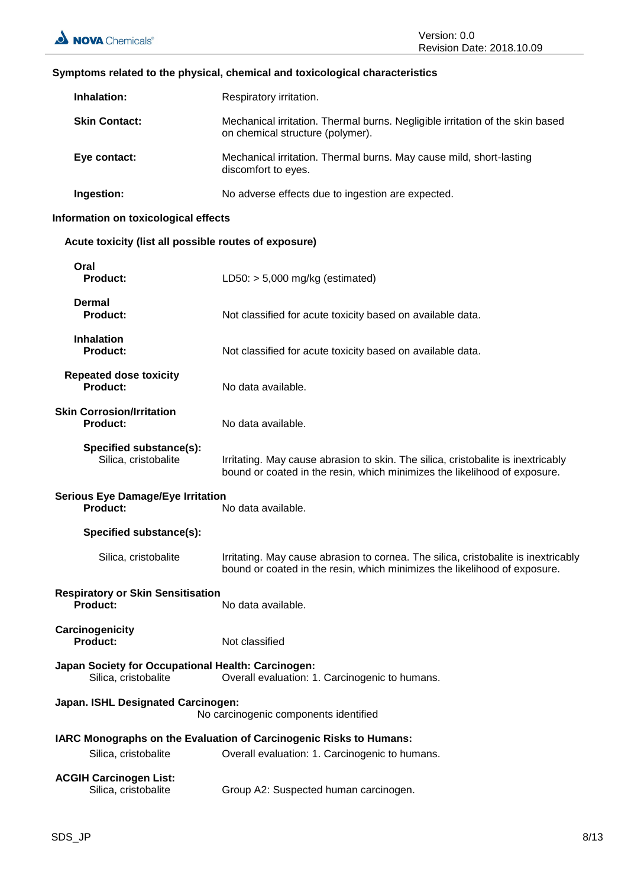# **Symptoms related to the physical, chemical and toxicological characteristics**

| Inhalation:          | Respiratory irritation.                                                                                           |
|----------------------|-------------------------------------------------------------------------------------------------------------------|
| <b>Skin Contact:</b> | Mechanical irritation. Thermal burns. Negligible irritation of the skin based<br>on chemical structure (polymer). |
| Eye contact:         | Mechanical irritation. Thermal burns. May cause mild, short-lasting<br>discomfort to eyes.                        |
| Ingestion:           | No adverse effects due to ingestion are expected.                                                                 |

# **Information on toxicological effects**

# **Acute toxicity (list all possible routes of exposure)**

| Oral<br><b>Product:</b>                                                     | LD50: $> 5,000$ mg/kg (estimated)                                                                                                                               |
|-----------------------------------------------------------------------------|-----------------------------------------------------------------------------------------------------------------------------------------------------------------|
| <b>Dermal</b><br><b>Product:</b>                                            | Not classified for acute toxicity based on available data.                                                                                                      |
| <b>Inhalation</b><br><b>Product:</b>                                        | Not classified for acute toxicity based on available data.                                                                                                      |
| <b>Repeated dose toxicity</b><br><b>Product:</b>                            | No data available.                                                                                                                                              |
| <b>Skin Corrosion/Irritation</b><br><b>Product:</b>                         | No data available.                                                                                                                                              |
| Specified substance(s):<br>Silica, cristobalite                             | Irritating. May cause abrasion to skin. The silica, cristobalite is inextricably<br>bound or coated in the resin, which minimizes the likelihood of exposure.   |
| <b>Serious Eye Damage/Eye Irritation</b><br><b>Product:</b>                 | No data available.                                                                                                                                              |
| Specified substance(s):                                                     |                                                                                                                                                                 |
| Silica, cristobalite                                                        | Irritating. May cause abrasion to cornea. The silica, cristobalite is inextricably<br>bound or coated in the resin, which minimizes the likelihood of exposure. |
| <b>Respiratory or Skin Sensitisation</b><br>Product:<br>No data available.  |                                                                                                                                                                 |
| Carcinogenicity<br><b>Product:</b>                                          | Not classified                                                                                                                                                  |
| Japan Society for Occupational Health: Carcinogen:<br>Silica, cristobalite  | Overall evaluation: 1. Carcinogenic to humans.                                                                                                                  |
| Japan. ISHL Designated Carcinogen:<br>No carcinogenic components identified |                                                                                                                                                                 |
|                                                                             | IARC Monographs on the Evaluation of Carcinogenic Risks to Humans:                                                                                              |
| Silica, cristobalite                                                        | Overall evaluation: 1. Carcinogenic to humans.                                                                                                                  |
| <b>ACGIH Carcinogen List:</b><br>Silica, cristobalite                       | Group A2: Suspected human carcinogen.                                                                                                                           |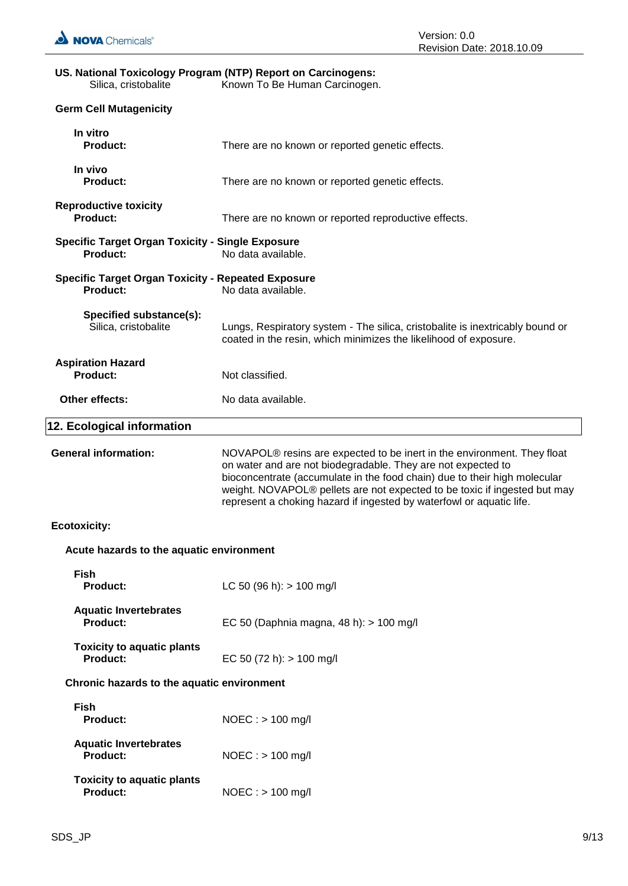# **US. National Toxicology Program (NTP) Report on Carcinogens:** Silica, cristobalite Known To Be Human Carcinogen. **Germ Cell Mutagenicity In vitro** There are no known or reported genetic effects. **In vivo** There are no known or reported genetic effects. **Reproductive toxicity Product:** There are no known or reported reproductive effects. **Specific Target Organ Toxicity - Single Exposure Product:** No data available.

| KUPI UUUULIVU LUAIUILV<br><b>Product:</b>                                  | There are no known or reported reproductive effects.                                                                                                                                                                                                                                                                                                                                  |
|----------------------------------------------------------------------------|---------------------------------------------------------------------------------------------------------------------------------------------------------------------------------------------------------------------------------------------------------------------------------------------------------------------------------------------------------------------------------------|
| <b>Specific Target Organ Toxicity - Single Exposure</b><br><b>Product:</b> | No data available.                                                                                                                                                                                                                                                                                                                                                                    |
| <b>Specific Target Organ Toxicity - Repeated Exposure</b><br>Product:      | No data available.                                                                                                                                                                                                                                                                                                                                                                    |
| Specified substance(s):<br>Silica, cristobalite                            | Lungs, Respiratory system - The silica, cristobalite is inextricably bound or<br>coated in the resin, which minimizes the likelihood of exposure.                                                                                                                                                                                                                                     |
| <b>Aspiration Hazard</b><br>Product:                                       | Not classified.                                                                                                                                                                                                                                                                                                                                                                       |
| Other effects:                                                             | No data available.                                                                                                                                                                                                                                                                                                                                                                    |
| 12. Ecological information                                                 |                                                                                                                                                                                                                                                                                                                                                                                       |
| <b>General information:</b>                                                | NOVAPOL <sup>®</sup> resins are expected to be inert in the environment. They float<br>on water and are not biodegradable. They are not expected to<br>bioconcentrate (accumulate in the food chain) due to their high molecular<br>weight. NOVAPOL® pellets are not expected to be toxic if ingested but may<br>represent a choking hazard if ingested by waterfowl or aquatic life. |
| <b>Ecotoxicity:</b>                                                        |                                                                                                                                                                                                                                                                                                                                                                                       |
| Acute hazards to the aquatic environment                                   |                                                                                                                                                                                                                                                                                                                                                                                       |
| <b>Fish</b><br><b>Product:</b>                                             | LC 50 (96 h): $> 100$ mg/l                                                                                                                                                                                                                                                                                                                                                            |
| <b>Aquatic Invertebrates</b><br>Product:                                   | EC 50 (Daphnia magna, 48 h): > 100 mg/l                                                                                                                                                                                                                                                                                                                                               |
| <b>Toxicity to aquatic plants</b><br><b>Product:</b>                       | EC 50 (72 h): $> 100$ mg/l                                                                                                                                                                                                                                                                                                                                                            |
| Chronic hazards to the aquatic environment                                 |                                                                                                                                                                                                                                                                                                                                                                                       |
| <b>Fish</b><br><b>Product:</b>                                             | NOEC: > 100 mg/l                                                                                                                                                                                                                                                                                                                                                                      |
| <b>Aquatic Invertebrates</b><br><b>Product:</b>                            | $NOEC:$ > 100 mg/l                                                                                                                                                                                                                                                                                                                                                                    |
| <b>Toxicity to aquatic plants</b><br>Product:                              | $NOEC : > 100$ mg/l                                                                                                                                                                                                                                                                                                                                                                   |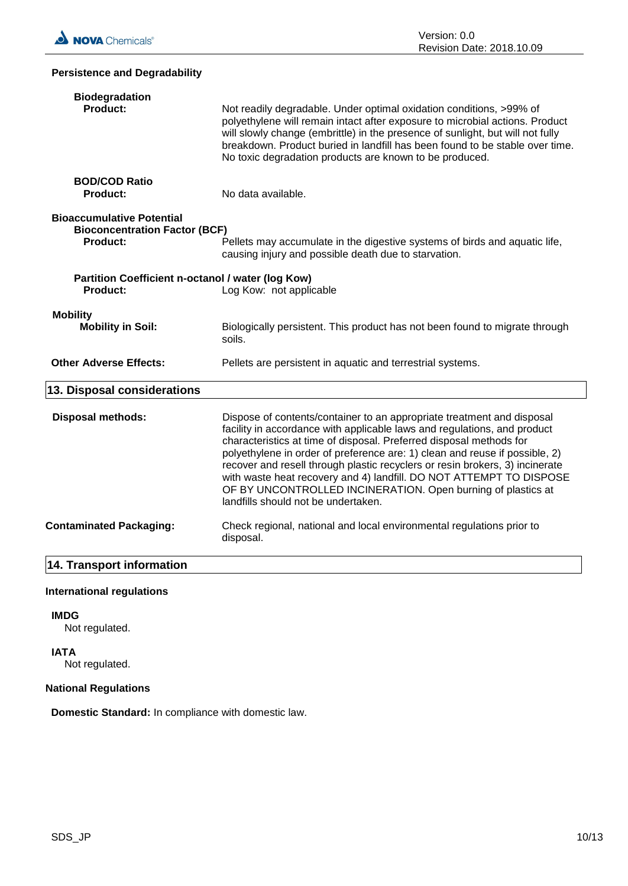# **Persistence and Degradability Biodegradation** Not readily degradable. Under optimal oxidation conditions, >99% of polyethylene will remain intact after exposure to microbial actions. Product will slowly change (embrittle) in the presence of sunlight, but will not fully breakdown. Product buried in landfill has been found to be stable over time. No toxic degradation products are known to be produced. **BOD/COD Ratio Product:** No data available. **Bioaccumulative Potential Bioconcentration Factor (BCF) Product:** Pellets may accumulate in the digestive systems of birds and aquatic life. causing injury and possible death due to starvation. **Partition Coefficient n-octanol / water (log Kow) Product:** Log Kow: not applicable **Mobility Mobility in Soil:** Biologically persistent. This product has not been found to migrate through soils. **Other Adverse Effects:** Pellets are persistent in aquatic and terrestrial systems. **13. Disposal considerations Disposal methods:** Dispose of contents/container to an appropriate treatment and disposal facility in accordance with applicable laws and regulations, and product characteristics at time of disposal. Preferred disposal methods for polyethylene in order of preference are: 1) clean and reuse if possible, 2) recover and resell through plastic recyclers or resin brokers, 3) incinerate with waste heat recovery and 4) landfill. DO NOT ATTEMPT TO DISPOSE OF BY UNCONTROLLED INCINERATION. Open burning of plastics at landfills should not be undertaken. **Contaminated Packaging:** Check regional, national and local environmental regulations prior to disposal.

# **14. Transport information**

# **International regulations**

# **IMDG**

Not regulated.

# **IATA**

Not regulated.

# **National Regulations**

**Domestic Standard:** In compliance with domestic law.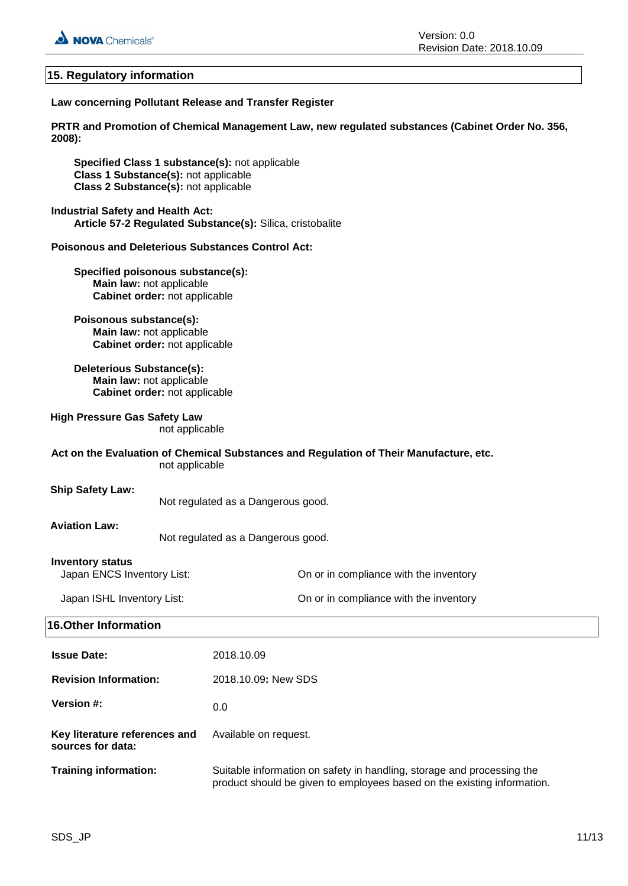

# **15. Regulatory information**

# **Law concerning Pollutant Release and Transfer Register**

**PRTR and Promotion of Chemical Management Law, new regulated substances (Cabinet Order No. 356, 2008):**

**Specified Class 1 substance(s):** not applicable **Class 1 Substance(s):** not applicable **Class 2 Substance(s):** not applicable

# **Industrial Safety and Health Act: Article 57-2 Regulated Substance(s):** Silica, cristobalite

# **Poisonous and Deleterious Substances Control Act:**

**Specified poisonous substance(s): Main law:** not applicable **Cabinet order:** not applicable

# **Poisonous substance(s): Main law:** not applicable **Cabinet order:** not applicable

**Deleterious Substance(s): Main law:** not applicable **Cabinet order:** not applicable

# **High Pressure Gas Safety Law**

not applicable

# **Act on the Evaluation of Chemical Substances and Regulation of Their Manufacture, etc.** not applicable

# **Ship Safety Law:**

Not regulated as a Dangerous good.

# **Aviation Law:**

Not regulated as a Dangerous good.

# **Inventory status**

Japan ENCS Inventory List: On or in compliance with the inventory

| Japan ISHL Inventory List: | On or in compliance with the inventory |
|----------------------------|----------------------------------------|
|----------------------------|----------------------------------------|

# **16.Other Information**

| <b>Issue Date:</b>                                 | 2018.10.09                                                                                                                                        |
|----------------------------------------------------|---------------------------------------------------------------------------------------------------------------------------------------------------|
| <b>Revision Information:</b>                       | 2018.10.09: New SDS                                                                                                                               |
| <b>Version #:</b>                                  | 0.0                                                                                                                                               |
| Key literature references and<br>sources for data: | Available on request.                                                                                                                             |
| <b>Training information:</b>                       | Suitable information on safety in handling, storage and processing the<br>product should be given to employees based on the existing information. |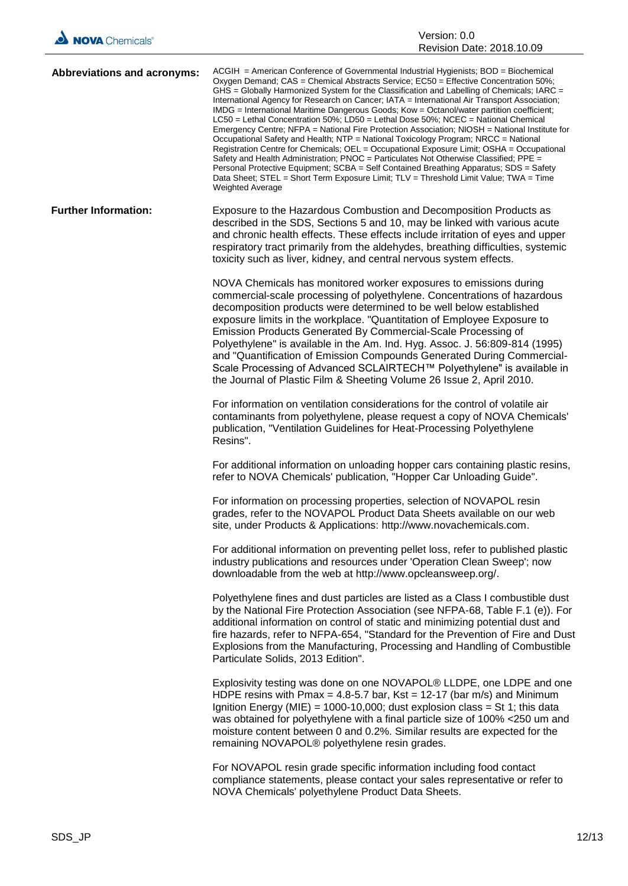| Abbreviations and acronyms: | $ACGH$ = American Conference of Governmental Industrial Hygienists; $BOD$ = Biochemical<br>Oxygen Demand; CAS = Chemical Abstracts Service; EC50 = Effective Concentration 50%;<br>GHS = Globally Harmonized System for the Classification and Labelling of Chemicals; IARC =<br>International Agency for Research on Cancer; IATA = International Air Transport Association;<br>IMDG = International Maritime Dangerous Goods; Kow = Octanol/water partition coefficient;<br>$LC50$ = Lethal Concentration 50%; LD50 = Lethal Dose 50%; NCEC = National Chemical<br>Emergency Centre; NFPA = National Fire Protection Association; NIOSH = National Institute for<br>Occupational Safety and Health; NTP = National Toxicology Program; NRCC = National<br>Registration Centre for Chemicals; OEL = Occupational Exposure Limit; OSHA = Occupational<br>Safety and Health Administration; PNOC = Particulates Not Otherwise Classified; PPE =<br>Personal Protective Equipment: SCBA = Self Contained Breathing Apparatus: SDS = Safety<br>Data Sheet; STEL = Short Term Exposure Limit; TLV = Threshold Limit Value; TWA = Time<br><b>Weighted Average</b> |
|-----------------------------|--------------------------------------------------------------------------------------------------------------------------------------------------------------------------------------------------------------------------------------------------------------------------------------------------------------------------------------------------------------------------------------------------------------------------------------------------------------------------------------------------------------------------------------------------------------------------------------------------------------------------------------------------------------------------------------------------------------------------------------------------------------------------------------------------------------------------------------------------------------------------------------------------------------------------------------------------------------------------------------------------------------------------------------------------------------------------------------------------------------------------------------------------------------|
| <b>Further Information:</b> | Exposure to the Hazardous Combustion and Decomposition Products as<br>described in the SDS, Sections 5 and 10, may be linked with various acute<br>and chronic health effects. These effects include irritation of eyes and upper<br>respiratory tract primarily from the aldehydes, breathing difficulties, systemic<br>toxicity such as liver, kidney, and central nervous system effects.                                                                                                                                                                                                                                                                                                                                                                                                                                                                                                                                                                                                                                                                                                                                                                 |
|                             | NOVA Chemicals has monitored worker exposures to emissions during<br>commercial-scale processing of polyethylene. Concentrations of hazardous<br>decomposition products were determined to be well below established<br>exposure limits in the workplace. "Quantitation of Employee Exposure to<br>Emission Products Generated By Commercial-Scale Processing of<br>Polyethylene" is available in the Am. Ind. Hyg. Assoc. J. 56:809-814 (1995)<br>and "Quantification of Emission Compounds Generated During Commercial-<br>Scale Processing of Advanced SCLAIRTECH™ Polyethylene" is available in<br>the Journal of Plastic Film & Sheeting Volume 26 Issue 2, April 2010.                                                                                                                                                                                                                                                                                                                                                                                                                                                                                 |
|                             | For information on ventilation considerations for the control of volatile air<br>contaminants from polyethylene, please request a copy of NOVA Chemicals'<br>publication, "Ventilation Guidelines for Heat-Processing Polyethylene<br>Resins".                                                                                                                                                                                                                                                                                                                                                                                                                                                                                                                                                                                                                                                                                                                                                                                                                                                                                                               |
|                             | For additional information on unloading hopper cars containing plastic resins,<br>refer to NOVA Chemicals' publication, "Hopper Car Unloading Guide".                                                                                                                                                                                                                                                                                                                                                                                                                                                                                                                                                                                                                                                                                                                                                                                                                                                                                                                                                                                                        |
|                             | For information on processing properties, selection of NOVAPOL resin<br>grades, refer to the NOVAPOL Product Data Sheets available on our web<br>site, under Products & Applications: http://www.novachemicals.com.                                                                                                                                                                                                                                                                                                                                                                                                                                                                                                                                                                                                                                                                                                                                                                                                                                                                                                                                          |
|                             | For additional information on preventing pellet loss, refer to published plastic<br>industry publications and resources under 'Operation Clean Sweep'; now<br>downloadable from the web at http://www.opcleansweep.org/.                                                                                                                                                                                                                                                                                                                                                                                                                                                                                                                                                                                                                                                                                                                                                                                                                                                                                                                                     |
|                             | Polyethylene fines and dust particles are listed as a Class I combustible dust<br>by the National Fire Protection Association (see NFPA-68, Table F.1 (e)). For<br>additional information on control of static and minimizing potential dust and<br>fire hazards, refer to NFPA-654, "Standard for the Prevention of Fire and Dust<br>Explosions from the Manufacturing, Processing and Handling of Combustible<br>Particulate Solids, 2013 Edition".                                                                                                                                                                                                                                                                                                                                                                                                                                                                                                                                                                                                                                                                                                        |
|                             | Explosivity testing was done on one NOVAPOL® LLDPE, one LDPE and one<br>HDPE resins with Pmax = 4.8-5.7 bar, Kst = 12-17 (bar m/s) and Minimum<br>Ignition Energy (MIE) = 1000-10,000; dust explosion class = St 1; this data<br>was obtained for polyethylene with a final particle size of 100% <250 um and<br>moisture content between 0 and 0.2%. Similar results are expected for the<br>remaining NOVAPOL® polyethylene resin grades.                                                                                                                                                                                                                                                                                                                                                                                                                                                                                                                                                                                                                                                                                                                  |
|                             | For NOVAPOL resin grade specific information including food contact<br>compliance statements, please contact your sales representative or refer to<br>NOVA Chemicals' polyethylene Product Data Sheets.                                                                                                                                                                                                                                                                                                                                                                                                                                                                                                                                                                                                                                                                                                                                                                                                                                                                                                                                                      |